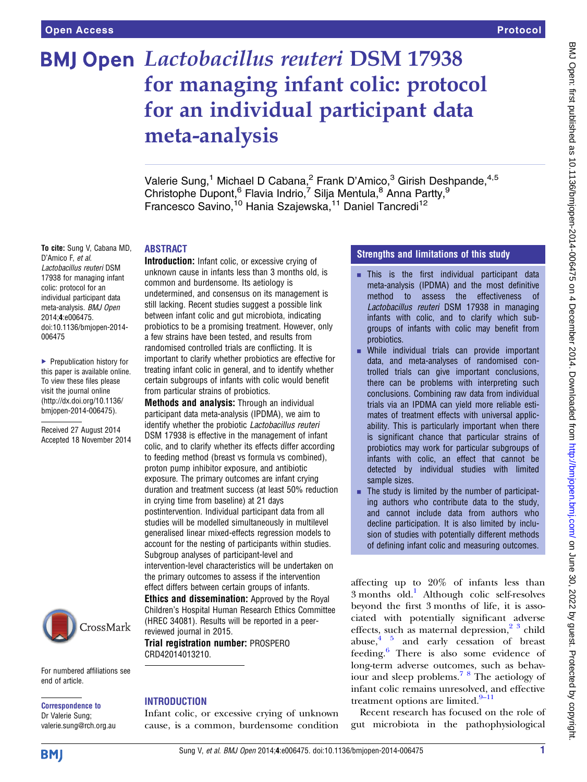# **BMJ Open** Lactobacillus reuteri DSM 17938 for managing infant colic: protocol for an individual participant data meta-analysis

Valerie Sung,<sup>1</sup> Michael D Cabana,<sup>2</sup> Frank D'Amico,<sup>3</sup> Girish Deshpande,<sup>4,5</sup> Christophe Dupont,<sup>6</sup> Flavia Indrio,<sup>7</sup> Silja Mentula,<sup>8</sup> Anna Partty,<sup>9</sup> Francesco Savino,<sup>10</sup> Hania Szajewska,<sup>11</sup> Daniel Tancredi<sup>12</sup>

#### ABSTRACT

To cite: Sung V, Cabana MD, D'Amico F, et al. Lactobacillus reuteri DSM 17938 for managing infant colic: protocol for an individual participant data meta-analysis. BMJ Open 2014;4:e006475. doi:10.1136/bmjopen-2014- 006475

▶ Prepublication history for this paper is available online. To view these files please visit the journal online [\(http://dx.doi.org/10.1136/](http://dx.doi.org/10.1136/bmjopen-2014-006475) [bmjopen-2014-006475](http://dx.doi.org/10.1136/bmjopen-2014-006475)).

Received 27 August 2014 Accepted 18 November 2014



For numbered affiliations see end of article.

Correspondence to Dr Valerie Sung; valerie.sung@rch.org.au

Introduction: Infant colic, or excessive crying of unknown cause in infants less than 3 months old, is common and burdensome. Its aetiology is undetermined, and consensus on its management is still lacking. Recent studies suggest a possible link between infant colic and gut microbiota, indicating probiotics to be a promising treatment. However, only a few strains have been tested, and results from randomised controlled trials are conflicting. It is important to clarify whether probiotics are effective for treating infant colic in general, and to identify whether certain subgroups of infants with colic would benefit from particular strains of probiotics.

**Methods and analysis:** Through an individual participant data meta-analysis (IPDMA), we aim to identify whether the probiotic Lactobacillus reuteri DSM 17938 is effective in the management of infant colic, and to clarify whether its effects differ according to feeding method (breast vs formula vs combined), proton pump inhibitor exposure, and antibiotic exposure. The primary outcomes are infant crying duration and treatment success (at least 50% reduction in crying time from baseline) at 21 days postintervention. Individual participant data from all studies will be modelled simultaneously in multilevel generalised linear mixed-effects regression models to account for the nesting of participants within studies. Subgroup analyses of participant-level and intervention-level characteristics will be undertaken on the primary outcomes to assess if the intervention effect differs between certain groups of infants. Ethics and dissemination: Approved by the Royal Children's Hospital Human Research Ethics Committee (HREC 34081). Results will be reported in a peerreviewed journal in 2015.

Trial registration number: PROSPERO CRD42014013210.

## **INTRODUCTION**

Infant colic, or excessive crying of unknown cause, is a common, burdensome condition

## Strengths and limitations of this study

- $\blacksquare$  This is the first individual participant data meta-analysis (IPDMA) and the most definitive method to assess the effectiveness of Lactobacillus reuteri DSM 17938 in managing infants with colic, and to clarify which subgroups of infants with colic may benefit from probiotics.
- **E** While individual trials can provide important data, and meta-analyses of randomised controlled trials can give important conclusions, there can be problems with interpreting such conclusions. Combining raw data from individual trials via an IPDMA can yield more reliable estimates of treatment effects with universal applicability. This is particularly important when there is significant chance that particular strains of probiotics may work for particular subgroups of infants with colic, an effect that cannot be detected by individual studies with limited sample sizes.
- $\blacksquare$  The study is limited by the number of participating authors who contribute data to the study, and cannot include data from authors who decline participation. It is also limited by inclusion of studies with potentially different methods of defining infant colic and measuring outcomes.

affecting up to 20% of infants less than 3 months old[.1](#page-4-0) Although colic self-resolves beyond the first 3 months of life, it is associated with potentially significant adverse effects, such as maternal depression,  $2^3$  child abuse, $4\overline{5}$  and early cessation of breast feeding.[6](#page-4-0) There is also some evidence of long-term adverse outcomes, such as behaviour and sleep problems[.7 8](#page-4-0) The aetiology of infant colic remains unresolved, and effective treatment options are limited. $9-11$  $9-11$ 

Recent research has focused on the role of gut microbiota in the pathophysiological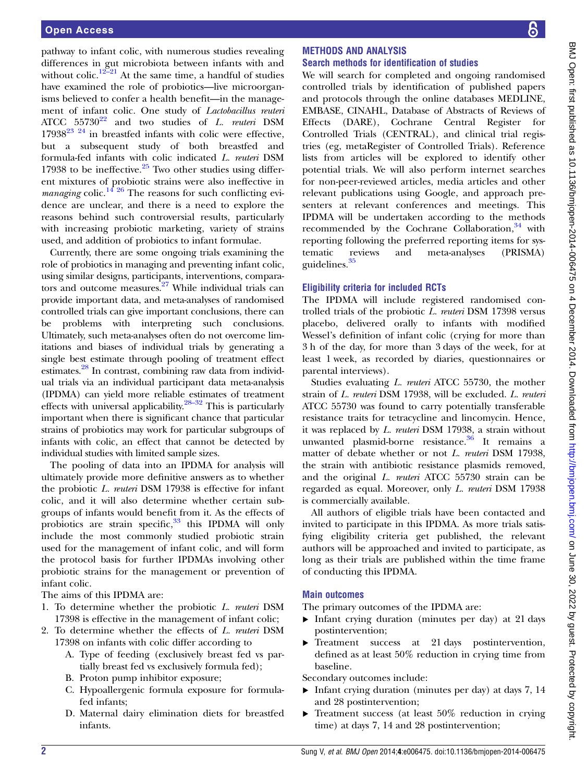pathway to infant colic, with numerous studies revealing differences in gut microbiota between infants with and without colic.<sup>[12](#page-4-0)–21</sup> At the same time, a handful of studies have examined the role of probiotics—live microorganisms believed to confer a health benefit—in the management of infant colic. One study of Lactobacillus reuteri ATCC  $55730^{22}$  $55730^{22}$  $55730^{22}$  and two studies of L. reuteri DSM  $17938^{23}$  <sup>24</sup> in breastfed infants with colic were effective, but a subsequent study of both breastfed and formula-fed infants with colic indicated L. reuteri DSM 17938 to be ineffective. $25$  Two other studies using different mixtures of probiotic strains were also ineffective in managing colic.<sup>[14 26](#page-4-0)</sup> The reasons for such conflicting evidence are unclear, and there is a need to explore the reasons behind such controversial results, particularly with increasing probiotic marketing, variety of strains used, and addition of probiotics to infant formulae.

Currently, there are some ongoing trials examining the role of probiotics in managing and preventing infant colic, using similar designs, participants, interventions, compara-tors and outcome measures.<sup>[27](#page-4-0)</sup> While individual trials can provide important data, and meta-analyses of randomised controlled trials can give important conclusions, there can be problems with interpreting such conclusions. Ultimately, such meta-analyses often do not overcome limitations and biases of individual trials by generating a single best estimate through pooling of treatment effect estimates.<sup>28</sup> In contrast, combining raw data from individual trials via an individual participant data meta-analysis (IPDMA) can yield more reliable estimates of treatment effects with universal applicability.  $28-32$  $28-32$  This is particularly important when there is significant chance that particular strains of probiotics may work for particular subgroups of infants with colic, an effect that cannot be detected by individual studies with limited sample sizes.

The pooling of data into an IPDMA for analysis will ultimately provide more definitive answers as to whether the probiotic L. reuteri DSM 17938 is effective for infant colic, and it will also determine whether certain subgroups of infants would benefit from it. As the effects of probiotics are strain specific,  $33$  this IPDMA will only include the most commonly studied probiotic strain used for the management of infant colic, and will form the protocol basis for further IPDMAs involving other probiotic strains for the management or prevention of infant colic.

The aims of this IPDMA are:

- 1. To determine whether the probiotic L. reuteri DSM 17398 is effective in the management of infant colic;
- 2. To determine whether the effects of L. reuteri DSM 17398 on infants with colic differ according to
	- A. Type of feeding (exclusively breast fed vs partially breast fed vs exclusively formula fed);
	- B. Proton pump inhibitor exposure;
	- C. Hypoallergenic formula exposure for formulafed infants;
	- D. Maternal dairy elimination diets for breastfed infants.

#### METHODS AND ANALYSIS Search methods for identification of studies

We will search for completed and ongoing randomised controlled trials by identification of published papers and protocols through the online databases MEDLINE, EMBASE, CINAHL, Database of Abstracts of Reviews of Effects (DARE), Cochrane Central Register for Controlled Trials (CENTRAL), and clinical trial registries (eg, metaRegister of Controlled Trials). Reference lists from articles will be explored to identify other potential trials. We will also perform internet searches for non-peer-reviewed articles, media articles and other relevant publications using Google, and approach presenters at relevant conferences and meetings. This IPDMA will be undertaken according to the methods recommended by the Cochrane Collaboration, $34$  with reporting following the preferred reporting items for systematic reviews and meta-analyses (PRISMA) guidelines.[35](#page-5-0)

## Eligibility criteria for included RCTs

The IPDMA will include registered randomised controlled trials of the probiotic L. reuteri DSM 17398 versus placebo, delivered orally to infants with modified Wessel's definition of infant colic (crying for more than 3 h of the day, for more than 3 days of the week, for at least 1 week, as recorded by diaries, questionnaires or parental interviews).

Studies evaluating L. reuteri ATCC 55730, the mother strain of L. reuteri DSM 17938, will be excluded. L. reuteri ATCC 55730 was found to carry potentially transferable resistance traits for tetracycline and lincomycin. Hence, it was replaced by L. reuteri DSM 17938, a strain without unwanted plasmid-borne resistance. $36$  It remains a matter of debate whether or not L. reuteri DSM 17938, the strain with antibiotic resistance plasmids removed, and the original L. reuteri ATCC 55730 strain can be regarded as equal. Moreover, only L. reuteri DSM 17938 is commercially available.

All authors of eligible trials have been contacted and invited to participate in this IPDMA. As more trials satisfying eligibility criteria get published, the relevant authors will be approached and invited to participate, as long as their trials are published within the time frame of conducting this IPDMA.

## Main outcomes

The primary outcomes of the IPDMA are:

- ▸ Infant crying duration (minutes per day) at 21 days postintervention;
- ▸ Treatment success at 21 days postintervention, defined as at least 50% reduction in crying time from baseline.

Secondary outcomes include:

- ▸ Infant crying duration (minutes per day) at days 7, 14 and 28 postintervention;
- ▸ Treatment success (at least 50% reduction in crying time) at days 7, 14 and 28 postintervention;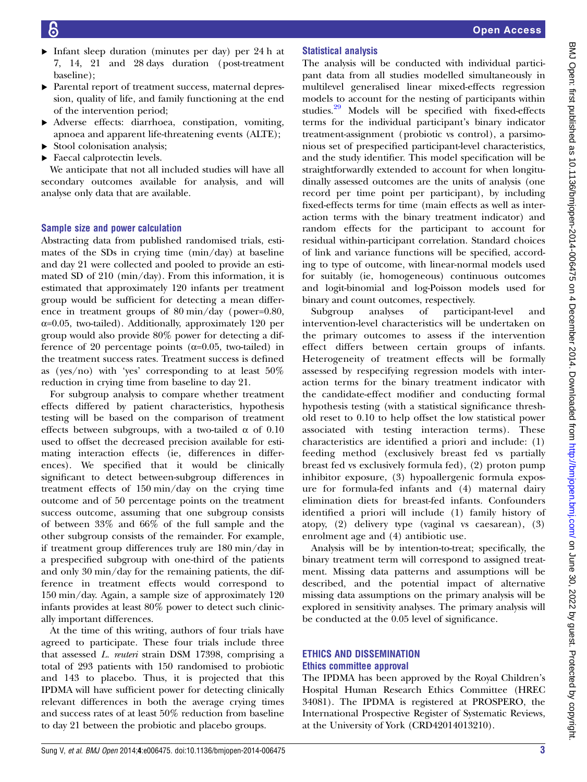- ▸ Infant sleep duration (minutes per day) per 24 h at 7, 14, 21 and 28 days duration (post-treatment baseline);
- ▸ Parental report of treatment success, maternal depression, quality of life, and family functioning at the end of the intervention period;
- ▸ Adverse effects: diarrhoea, constipation, vomiting, apnoea and apparent life-threatening events (ALTE);
- ▸ Stool colonisation analysis;
- ▸ Faecal calprotectin levels.

We anticipate that not all included studies will have all secondary outcomes available for analysis, and will analyse only data that are available.

## Sample size and power calculation

Abstracting data from published randomised trials, estimates of the SDs in crying time (min/day) at baseline and day 21 were collected and pooled to provide an estimated SD of 210 (min/day). From this information, it is estimated that approximately 120 infants per treatment group would be sufficient for detecting a mean difference in treatment groups of 80 min/day (power=0.80,  $\alpha$ =0.05, two-tailed). Additionally, approximately 120 per group would also provide 80% power for detecting a difference of 20 percentage points ( $\alpha$ =0.05, two-tailed) in the treatment success rates. Treatment success is defined as (yes/no) with 'yes' corresponding to at least 50% reduction in crying time from baseline to day 21.

For subgroup analysis to compare whether treatment effects differed by patient characteristics, hypothesis testing will be based on the comparison of treatment effects between subgroups, with a two-tailed  $\alpha$  of 0.10 used to offset the decreased precision available for estimating interaction effects (ie, differences in differences). We specified that it would be clinically significant to detect between-subgroup differences in treatment effects of 150 min/day on the crying time outcome and of 50 percentage points on the treatment success outcome, assuming that one subgroup consists of between 33% and 66% of the full sample and the other subgroup consists of the remainder. For example, if treatment group differences truly are 180 min/day in a prespecified subgroup with one-third of the patients and only 30 min/day for the remaining patients, the difference in treatment effects would correspond to 150 min/day. Again, a sample size of approximately 120 infants provides at least 80% power to detect such clinically important differences.

At the time of this writing, authors of four trials have agreed to participate. These four trials include three that assessed L. reuteri strain DSM 17398, comprising a total of 293 patients with 150 randomised to probiotic and 143 to placebo. Thus, it is projected that this IPDMA will have sufficient power for detecting clinically relevant differences in both the average crying times and success rates of at least 50% reduction from baseline to day 21 between the probiotic and placebo groups.

## Statistical analysis

The analysis will be conducted with individual participant data from all studies modelled simultaneously in multilevel generalised linear mixed-effects regression models to account for the nesting of participants within studies.[29](#page-5-0) Models will be specified with fixed-effects terms for the individual participant's binary indicator treatment-assignment (probiotic vs control), a parsimonious set of prespecified participant-level characteristics, and the study identifier. This model specification will be straightforwardly extended to account for when longitudinally assessed outcomes are the units of analysis (one record per time point per participant), by including fixed-effects terms for time (main effects as well as interaction terms with the binary treatment indicator) and random effects for the participant to account for residual within-participant correlation. Standard choices of link and variance functions will be specified, according to type of outcome, with linear-normal models used for suitably (ie, homogeneous) continuous outcomes and logit-binomial and log-Poisson models used for binary and count outcomes, respectively.

Subgroup analyses of participant-level and intervention-level characteristics will be undertaken on the primary outcomes to assess if the intervention effect differs between certain groups of infants. Heterogeneity of treatment effects will be formally assessed by respecifying regression models with interaction terms for the binary treatment indicator with the candidate-effect modifier and conducting formal hypothesis testing (with a statistical significance threshold reset to 0.10 to help offset the low statistical power associated with testing interaction terms). These characteristics are identified a priori and include: (1) feeding method (exclusively breast fed vs partially breast fed vs exclusively formula fed), (2) proton pump inhibitor exposure, (3) hypoallergenic formula exposure for formula-fed infants and (4) maternal dairy elimination diets for breast-fed infants. Confounders identified a priori will include (1) family history of atopy, (2) delivery type (vaginal vs caesarean), (3) enrolment age and (4) antibiotic use.

Analysis will be by intention-to-treat; specifically, the binary treatment term will correspond to assigned treatment. Missing data patterns and assumptions will be described, and the potential impact of alternative missing data assumptions on the primary analysis will be explored in sensitivity analyses. The primary analysis will be conducted at the 0.05 level of significance.

### ETHICS AND DISSEMINATION Ethics committee approval

The IPDMA has been approved by the Royal Children's Hospital Human Research Ethics Committee (HREC 34081). The IPDMA is registered at PROSPERO, the International Prospective Register of Systematic Reviews, at the University of York (CRD42014013210).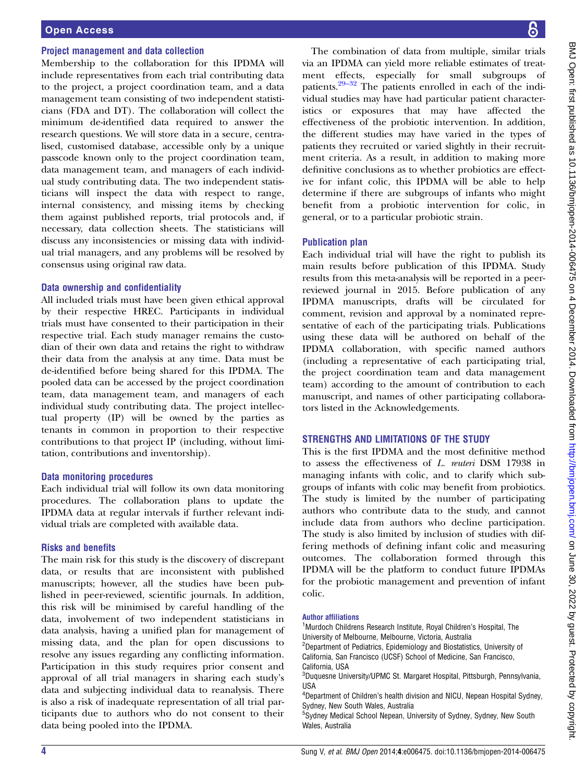## Open Access

#### Project management and data collection

Membership to the collaboration for this IPDMA will include representatives from each trial contributing data to the project, a project coordination team, and a data management team consisting of two independent statisticians (FDA and DT). The collaboration will collect the minimum de-identified data required to answer the research questions. We will store data in a secure, centralised, customised database, accessible only by a unique passcode known only to the project coordination team, data management team, and managers of each individual study contributing data. The two independent statisticians will inspect the data with respect to range, internal consistency, and missing items by checking them against published reports, trial protocols and, if necessary, data collection sheets. The statisticians will discuss any inconsistencies or missing data with individual trial managers, and any problems will be resolved by consensus using original raw data.

#### Data ownership and confidentiality

All included trials must have been given ethical approval by their respective HREC. Participants in individual trials must have consented to their participation in their respective trial. Each study manager remains the custodian of their own data and retains the right to withdraw their data from the analysis at any time. Data must be de-identified before being shared for this IPDMA. The pooled data can be accessed by the project coordination team, data management team, and managers of each individual study contributing data. The project intellectual property (IP) will be owned by the parties as tenants in common in proportion to their respective contributions to that project IP (including, without limitation, contributions and inventorship).

#### Data monitoring procedures

Each individual trial will follow its own data monitoring procedures. The collaboration plans to update the IPDMA data at regular intervals if further relevant individual trials are completed with available data.

#### Risks and benefits

The main risk for this study is the discovery of discrepant data, or results that are inconsistent with published manuscripts; however, all the studies have been published in peer-reviewed, scientific journals. In addition, this risk will be minimised by careful handling of the data, involvement of two independent statisticians in data analysis, having a unified plan for management of missing data, and the plan for open discussions to resolve any issues regarding any conflicting information. Participation in this study requires prior consent and approval of all trial managers in sharing each study's data and subjecting individual data to reanalysis. There is also a risk of inadequate representation of all trial participants due to authors who do not consent to their data being pooled into the IPDMA.

The combination of data from multiple, similar trials via an IPDMA can yield more reliable estimates of treatment effects, especially for small subgroups of patients[.29](#page-5-0)–<sup>32</sup> The patients enrolled in each of the individual studies may have had particular patient characteristics or exposures that may have affected the effectiveness of the probiotic intervention. In addition, the different studies may have varied in the types of patients they recruited or varied slightly in their recruitment criteria. As a result, in addition to making more definitive conclusions as to whether probiotics are effective for infant colic, this IPDMA will be able to help determine if there are subgroups of infants who might benefit from a probiotic intervention for colic, in general, or to a particular probiotic strain.

### Publication plan

Each individual trial will have the right to publish its main results before publication of this IPDMA. Study results from this meta-analysis will be reported in a peerreviewed journal in 2015. Before publication of any IPDMA manuscripts, drafts will be circulated for comment, revision and approval by a nominated representative of each of the participating trials. Publications using these data will be authored on behalf of the IPDMA collaboration, with specific named authors (including a representative of each participating trial, the project coordination team and data management team) according to the amount of contribution to each manuscript, and names of other participating collaborators listed in the Acknowledgements.

#### STRENGTHS AND LIMITATIONS OF THE STUDY

This is the first IPDMA and the most definitive method to assess the effectiveness of L. reuteri DSM 17938 in managing infants with colic, and to clarify which subgroups of infants with colic may benefit from probiotics. The study is limited by the number of participating authors who contribute data to the study, and cannot include data from authors who decline participation. The study is also limited by inclusion of studies with differing methods of defining infant colic and measuring outcomes. The collaboration formed through this IPDMA will be the platform to conduct future IPDMAs for the probiotic management and prevention of infant colic.

#### Author affiliations

<sup>1</sup>Murdoch Childrens Research Institute, Royal Children's Hospital, The University of Melbourne, Melbourne, Victoria, Australia <sup>2</sup>Department of Pediatrics, Epidemiology and Biostatistics, University of

California, San Francisco (UCSF) School of Medicine, San Francisco, California, USA

5 Sydney Medical School Nepean, University of Sydney, Sydney, New South Wales, Australia

<sup>&</sup>lt;sup>3</sup>Duquesne University/UPMC St. Margaret Hospital, Pittsburgh, Pennsylvania, **IISA** 

<sup>&</sup>lt;sup>4</sup>Department of Children's health division and NICU, Nepean Hospital Sydney, Sydney, New South Wales, Australia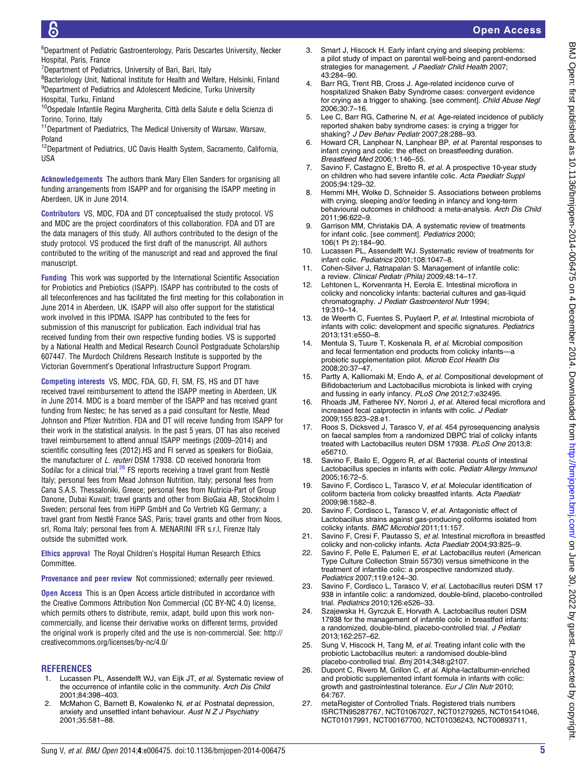<span id="page-4-0"></span>6 Department of Pediatric Gastroenterology, Paris Descartes University, Necker Hospital, Paris, France

<sup>7</sup>Department of Pediatrics, University of Bari, Bari, Italy

<sup>8</sup>Bacteriology Unit, National Institute for Health and Welfare, Helsinki, Finland <sup>9</sup>Department of Pediatrics and Adolescent Medicine, Turku University Hospital, Turku, Finland

 $10$ Ospedale Infantile Regina Margherita, Città della Salute e della Scienza di Torino, Torino, Italy

 $11$ Department of Paediatrics, The Medical University of Warsaw, Warsaw, Poland

<sup>12</sup>Department of Pediatrics, UC Davis Health System, Sacramento, California, USA

Acknowledgements The authors thank Mary Ellen Sanders for organising all funding arrangements from ISAPP and for organising the ISAPP meeting in Aberdeen, UK in June 2014.

Contributors VS, MDC, FDA and DT conceptualised the study protocol. VS and MDC are the project coordinators of this collaboration. FDA and DT are the data managers of this study. All authors contributed to the design of the study protocol. VS produced the first draft of the manuscript. All authors contributed to the writing of the manuscript and read and approved the final manuscript.

Funding This work was supported by the International Scientific Association for Probiotics and Prebiotics (ISAPP). ISAPP has contributed to the costs of all teleconferences and has facilitated the first meeting for this collaboration in June 2014 in Aberdeen, UK. ISAPP will also offer support for the statistical work involved in this IPDMA. ISAPP has contributed to the fees for submission of this manuscript for publication. Each individual trial has received funding from their own respective funding bodies. VS is supported by a National Health and Medical Research Council Postgraduate Scholarship 607447. The Murdoch Childrens Research Institute is supported by the Victorian Government's Operational Infrastructure Support Program.

Competing interests VS, MDC, FDA, GD, FI, SM, FS, HS and DT have received travel reimbursement to attend the ISAPP meeting in Aberdeen, UK in June 2014. MDC is a board member of the ISAPP and has received grant funding from Nestec; he has served as a paid consultant for Nestle, Mead Johnson and Pfizer Nutrition. FDA and DT will receive funding from ISAPP for their work in the statistical analysis. In the past 5 years, DT has also received travel reimbursement to attend annual ISAPP meetings (2009–2014) and scientific consulting fees (2012).HS and FI served as speakers for BioGaia, the manufacturer of L. reuteri DSM 17938. CD received honoraria from Sodilac for a clinical trial.<sup>26</sup> FS reports receiving a travel grant from Nestlè Italy; personal fees from Mead Johnson Nutrition, Italy; personal fees from Cana S.A.S. Thessaloniki, Greece; personal fees from Nutricia-Part of Group Danone, Dubai Kuwait; travel grants and other from BioGaia AB, Stockholm I Sweden; personal fees from HiPP GmbH and Co Vertrieb KG Germany; a travel grant from Nestlé France SAS, Paris; travel grants and other from Noos, srl, Roma Italy; personal fees from A. MENARINI IFR s.r.l, Firenze Italy outside the submitted work.

Ethics approval The Royal Children's Hospital Human Research Ethics **Committee.** 

Provenance and peer review Not commissioned; externally peer reviewed.

Open Access This is an Open Access article distributed in accordance with the Creative Commons Attribution Non Commercial (CC BY-NC 4.0) license, which permits others to distribute, remix, adapt, build upon this work noncommercially, and license their derivative works on different terms, provided the original work is properly cited and the use is non-commercial. See: [http://](http://creativecommons.org/licenses/by-nc/4.0/) [creativecommons.org/licenses/by-nc/4.0/](http://creativecommons.org/licenses/by-nc/4.0/)

## REFERENCES

- 1. Lucassen PL, Assendelft WJ, van Eijk JT, et al. Systematic review of the occurrence of infantile colic in the community. Arch Dis Child 2001;84:398–403.
- McMahon C, Barnett B, Kowalenko N, et al. Postnatal depression, anxiety and unsettled infant behaviour. Aust N Z J Psychiatry 2001;35:581–88.
- 3. Smart J, Hiscock H. Early infant crying and sleeping problems: a pilot study of impact on parental well-being and parent-endorsed strategies for management. J Paediatr Child Health 2007; 43:284–90.
- 4. Barr RG, Trent RB, Cross J. Age-related incidence curve of hospitalized Shaken Baby Syndrome cases: convergent evidence for crying as a trigger to shaking. [see comment]. Child Abuse Negl 2006;30:7–16.
- 5. Lee C, Barr RG, Catherine N, et al. Age-related incidence of publicly reported shaken baby syndrome cases: is crying a trigger for shaking? J Dev Behav Pediatr 2007;28:288–93.
- 6. Howard CR, Lanphear N, Lanphear BP, et al. Parental responses to infant crying and colic: the effect on breastfeeding duration. Breastfeed Med 2006;1:146–55.
- 7. Savino F, Castagno E, Bretto R, et al. A prospective 10-year study on children who had severe infantile colic. Acta Paediatr Suppl 2005;94:129–32.
- 8. Hemmi MH, Wolke D, Schneider S. Associations between problems with crying, sleeping and/or feeding in infancy and long-term behavioural outcomes in childhood: a meta-analysis. Arch Dis Child 2011;96:622–9.
- Garrison MM, Christakis DA. A systematic review of treatments for infant colic. [see comment]. Pediatrics 2000; 106(1 Pt 2):184–90.
- 10. Lucassen PL, Assendelft WJ. Systematic review of treatments for infant colic. Pediatrics 2001;108:1047–8.
- 11. Cohen-Silver J, Ratnapalan S. Management of infantile colic: a review. Clinical Pediatr (Phila) 2009;48:14–17.
- 12. Lehtonen L, Korvenranta H, Eerola E. Intestinal microflora in colicky and noncolicky infants: bacterial cultures and gas-liquid chromatography. J Pediatr Gastroenterol Nutr 1994; 19:310–14.
- 13. de Weerth C, Fuentes S, Puylaert P, et al. Intestinal microbiota of infants with colic: development and specific signatures. Pediatrics 2013;131:e550–8.
- 14. Mentula S, Tuure T, Koskenala R, et al. Microbial composition and fecal fermentation end products from colicky infants—a probiotic supplementation pilot. Microb Ecol Health Dis 2008;20:37–47.
- 15. Partty A, Kalliomaki M, Endo A, et al. Compositional development of Bifidobacterium and Lactobacillus microbiota is linked with crying and fussing in early infancy. PLoS One 2012;7:e32495.
- 16. Rhoads JM, Fatheree NY, Norori J, et al. Altered fecal microflora and increased fecal calprotectin in infants with colic. J Pediatr 2009;155:823–28.e1.
- 17. Roos S, Dicksved J, Tarasco V, et al. 454 pyrosequencing analysis on faecal samples from a randomized DBPC trial of colicky infants treated with Lactobacillus reuteri DSM 17938. PLoS One 2013;8: e56710.
- 18. Savino F, Bailo E, Oggero R, et al. Bacterial counts of intestinal Lactobacillus species in infants with colic. Pediatr Allergy Immunol 2005;16:72–5.
- 19. Savino F, Cordisco L, Tarasco V, et al. Molecular identification of coliform bacteria from colicky breastfed infants. Acta Paediatr 2009;98:1582–8.
- 20. Savino F, Cordisco L, Tarasco V, et al. Antagonistic effect of Lactobacillus strains against gas-producing coliforms isolated from colicky infants. BMC Microbiol 2011;11:157.
- 21. Savino F, Cresi F, Pautasso S, et al. Intestinal microflora in breastfed colicky and non-colicky infants. Acta Paediatr 2004;93:825–9.
- 22. Savino F, Pelle E, Palumeri E, et al. Lactobacillus reuteri (American Type Culture Collection Strain 55730) versus simethicone in the treatment of infantile colic: a prospective randomized study. Pediatrics 2007;119:e124–30.
- 23. Savino F, Cordisco L, Tarasco V, et al. Lactobacillus reuteri DSM 17 938 in infantile colic: a randomized, double-blind, placebo-controlled trial. Pediatrics 2010;126:e526–33.
- 24. Szajewska H, Gyrczuk E, Horvath A. Lactobacillus reuteri DSM 17938 for the management of infantile colic in breastfed infants: a randomized, double-blind, placebo-controlled trial. J Pediatr 2013;162:257–62.
- 25. Sung V, Hiscock H, Tang M, et al. Treating infant colic with the probiotic Lactobacillus reuteri: a randomised double-blind placebo-controlled trial. Bmj 2014;348:g2107.
- 26. Dupont C, Rivero M, Grillon C, et al. Alpha-lactalbumin-enriched and probiotic supplemented infant formula in infants with colic: growth and gastrointestinal tolerance. Eur J Clin Nutr 2010; 64:767.
- 27. metaRegister of Controlled Trials. Registered trials numbers ISRCTN95287767, NCT01067027, NCT01279265, NCT01541046, NCT01017991, NCT00167700, NCT01036243, NCT00893711,